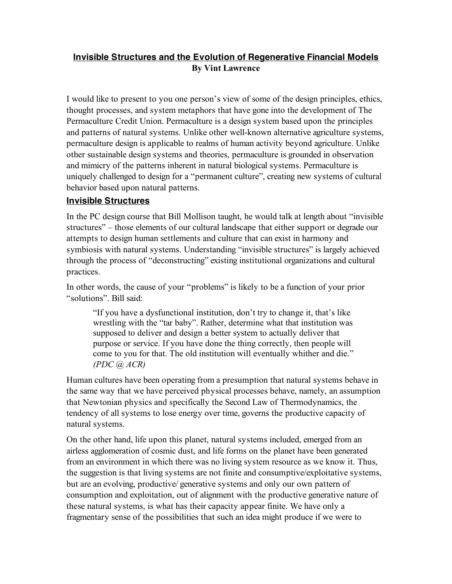## **Invisible Structures and the Evolution of Regenerative Financial Models By Vint Lawrence**

I would like to present to you one person's view of some of the design principles, ethics, thought processes, and system metaphors that have gone into the development of The Permaculture Credit Union. Permaculture is a design system based upon the principles and patterns of natural systems. Unlike other well-known alternative agriculture systems, permaculture design is applicable to realms of human activity beyond agriculture. Unlike other sustainable design systems and theories, permaculture is grounded in observation and mimicry of the patterns inherent in natural biological systems. Permaculture is uniquely challenged to design for a "permanent culture", creating new systems of cultural behavior based upon natural patterns.

## **Invisible Structures**

In the PC design course that Bill Mollison taught, he would talk at length about "invisible structures" – those elements of our cultural landscape that either support or degrade our attempts to design human settlements and culture that can exist in harmony and symbiosis with natural systems. Understanding "invisible structures" is largely achieved through the process of "deconstructing" existing institutional organizations and cultural practices.

In other words, the cause of your "problems" is likely to be a function of your prior "solutions". Bill said:

"If you have a dysfunctional institution, don't try to change it, that's like wrestling with the "tar baby". Rather, determine what that institution was supposed to deliver and design a better system to actually deliver that purpose or service. If you have done the thing correctly, then people will come to you for that. The old institution will eventually whither and die." *(PDC @ ACR)*

Human cultures have been operating from a presumption that natural systems behave in the same way that we have perceived physical processes behave, namely, an assumption that Newtonian physics and specifically the Second Law of Thermodynamics, the tendency of all systems to lose energy over time, governs the productive capacity of natural systems.

On the other hand, life upon this planet, natural systems included, emerged from an airless agglomeration of cosmic dust, and life forms on the planet have been generated from an environment in which there was no living system resource as we know it. Thus, the suggestion is that living systems are not finite and consumptive/exploitative systems, but are an evolving, productive/ generative systems and only our own pattern of consumption and exploitation, out of alignment with the productive generative nature of these natural systems, is what has their capacity appear finite. We have only a fragmentary sense of the possibilities that such an idea might produce if we were to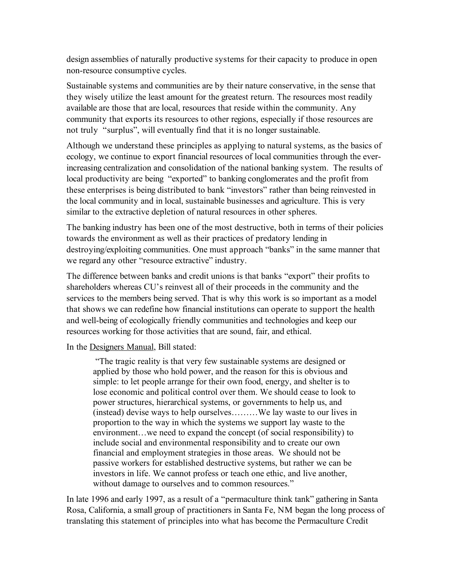design assemblies of naturally productive systems for their capacity to produce in open non-resource consumptive cycles.

Sustainable systems and communities are by their nature conservative, in the sense that they wisely utilize the least amount for the greatest return. The resources most readily available are those that are local, resources that reside within the community. Any community that exports its resources to other regions, especially if those resources are not truly "surplus", will eventually find that it is no longer sustainable.

Although we understand these principles as applying to natural systems, as the basics of ecology, we continue to export financial resources of local communities through the everincreasing centralization and consolidation of the national banking system. The results of local productivity are being "exported" to banking conglomerates and the profit from these enterprises is being distributed to bank "investors" rather than being reinvested in the local community and in local, sustainable businesses and agriculture. This is very similar to the extractive depletion of natural resources in other spheres.

The banking industry has been one of the most destructive, both in terms of their policies towards the environment as well as their practices of predatory lending in destroying/exploiting communities. One must approach "banks" in the same manner that we regard any other "resource extractive" industry.

The difference between banks and credit unions is that banks "export" their profits to shareholders whereas CU's reinvest all of their proceeds in the community and the services to the members being served. That is why this work is so important as a model that shows we can redefine how financial institutions can operate to support the health and well-being of ecologically friendly communities and technologies and keep our resources working for those activities that are sound, fair, and ethical.

In the Designers Manual, Bill stated:

"The tragic reality is that very few sustainable systems are designed or applied by those who hold power, and the reason for this is obvious and simple: to let people arrange for their own food, energy, and shelter is to lose economic and political control over them. We should cease to look to power structures, hierarchical systems, or governments to help us, and (instead) devise ways to help ourselves………We lay waste to our lives in proportion to the way in which the systems we support lay waste to the environment…we need to expand the concept (of social responsibility) to include social and environmental responsibility and to create our own financial and employment strategies in those areas. We should not be passive workers for established destructive systems, but rather we can be investors in life. We cannot profess or teach one ethic, and live another, without damage to ourselves and to common resources."

In late 1996 and early 1997, as a result of a "permaculture think tank" gathering in Santa Rosa, California, a small group of practitioners in Santa Fe, NM began the long process of translating this statement of principles into what has become the Permaculture Credit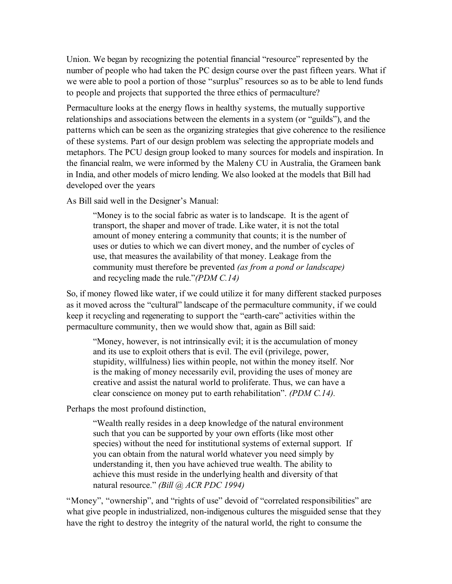Union. We began by recognizing the potential financial "resource" represented by the number of people who had taken the PC design course over the past fifteen years. What if we were able to pool a portion of those "surplus" resources so as to be able to lend funds to people and projects that supported the three ethics of permaculture?

Permaculture looks at the energy flows in healthy systems, the mutually supportive relationships and associations between the elements in a system (or "guilds"), and the patterns which can be seen as the organizing strategies that give coherence to the resilience of these systems. Part of our design problem was selecting the appropriate models and metaphors. The PCU design group looked to many sources for models and inspiration. In the financial realm, we were informed by the Maleny CU in Australia, the Grameen bank in India, and other models of micro lending. We also looked at the models that Bill had developed over the years

As Bill said well in the Designer's Manual:

"Money is to the social fabric as water is to landscape. It is the agent of transport, the shaper and mover of trade. Like water, it is not the total amount of money entering a community that counts; it is the number of uses or duties to which we can divert money, and the number of cycles of use, that measures the availability of that money. Leakage from the community must therefore be prevented *(as from a pond or landscape)* and recycling made the rule."*(PDM C.14)*

So, if money flowed like water, if we could utilize it for many different stacked purposes as it moved across the "cultural" landscape of the permaculture community, if we could keep it recycling and regenerating to support the "earth-care" activities within the permaculture community, then we would show that, again as Bill said:

"Money, however, is not intrinsically evil; it is the accumulation of money and its use to exploit others that is evil. The evil (privilege, power, stupidity, willfulness) lies within people, not within the money itself. Nor is the making of money necessarily evil, providing the uses of money are creative and assist the natural world to proliferate. Thus, we can have a clear conscience on money put to earth rehabilitation". *(PDM C.14).*

Perhaps the most profound distinction,

"Wealth really resides in a deep knowledge of the natural environment such that you can be supported by your own efforts (like most other species) without the need for institutional systems of external support. If you can obtain from the natural world whatever you need simply by understanding it, then you have achieved true wealth. The ability to achieve this must reside in the underlying health and diversity of that natural resource." *(Bill @ ACR PDC 1994)*

"Money", "ownership", and "rights of use" devoid of "correlated responsibilities" are what give people in industrialized, non-indigenous cultures the misguided sense that they have the right to destroy the integrity of the natural world, the right to consume the